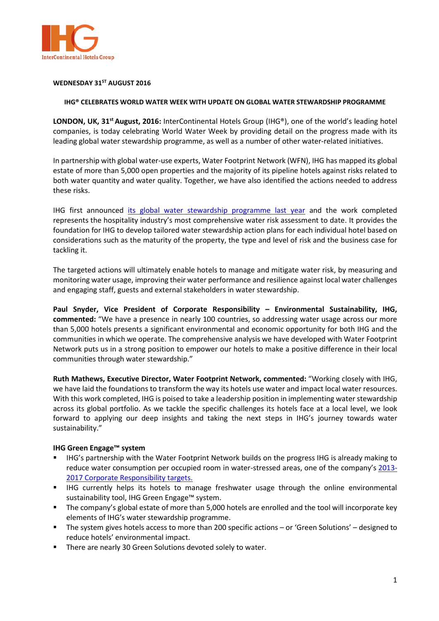

## **WEDNESDAY 31ST AUGUST 2016**

## **IHG® CELEBRATES WORLD WATER WEEK WITH UPDATE ON GLOBAL WATER STEWARDSHIP PROGRAMME**

**LONDON, UK, 31st August, 2016:** InterContinental Hotels Group (IHG®), one of the world's leading hotel companies, is today celebrating World Water Week by providing detail on the progress made with its leading global water stewardship programme, as well as a number of other water-related initiatives.

In partnership with global water-use experts, Water Footprint Network (WFN), IHG has mapped its global estate of more than 5,000 open properties and the majority of its pipeline hotels against risks related to both water quantity and water quality. Together, we have also identified the actions needed to address these risks.

IHG first announced [its global water stewardship programme last year](http://www.ihgplc.com/index.asp?PageID=116&NewsID=3496) and the work completed represents the hospitality industry's most comprehensive water risk assessment to date. It provides the foundation for IHG to develop tailored water stewardship action plans for each individual hotel based on considerations such as the maturity of the property, the type and level of risk and the business case for tackling it.

The targeted actions will ultimately enable hotels to manage and mitigate water risk, by measuring and monitoring water usage, improving their water performance and resilience against local water challenges and engaging staff, guests and external stakeholders in water stewardship.

**Paul Snyder, Vice President of Corporate Responsibility – Environmental Sustainability, IHG, commented:** "We have a presence in nearly 100 countries, so addressing water usage across our more than 5,000 hotels presents a significant environmental and economic opportunity for both IHG and the communities in which we operate. The comprehensive analysis we have developed with Water Footprint Network puts us in a strong position to empower our hotels to make a positive difference in their local communities through water stewardship."

**Ruth Mathews, Executive Director, Water Footprint Network, commented:** "Working closely with IHG, we have laid the foundations to transform the way its hotels use water and impact local water resources. With this work completed, IHG is poised to take a leadership position in implementing water stewardship across its global portfolio. As we tackle the specific challenges its hotels face at a local level, we look forward to applying our deep insights and taking the next steps in IHG's journey towards water sustainability."

# **IHG Green Engage™ system**

- IHG's partnership with the Water Footprint Network builds on the progress IHG is already making to reduce water consumption per occupied room in water-stressed areas, one of the company's [2013-](http://www.ihgplc.com/index.asp?PageID=116&NewsID=3052) [2017 Corporate Responsibility targets.](http://www.ihgplc.com/index.asp?PageID=116&NewsID=3052)
- IHG currently helps its hotels to manage freshwater usage through the online environmental sustainability tool, IHG Green Engage™ system.
- The company's global estate of more than 5,000 hotels are enrolled and the tool will incorporate key elements of IHG's water stewardship programme.
- The system gives hotels access to more than 200 specific actions or 'Green Solutions' designed to reduce hotels' environmental impact.
- **There are nearly 30 Green Solutions devoted solely to water.**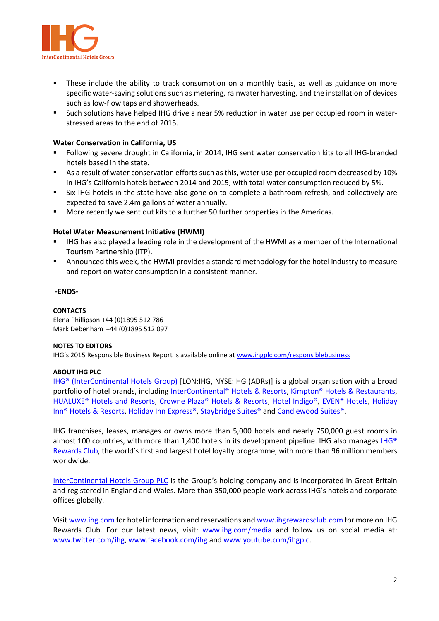

- These include the ability to track consumption on a monthly basis, as well as guidance on more specific water-saving solutions such as metering, rainwater harvesting, and the installation of devices such as low-flow taps and showerheads.
- Such solutions have helped IHG drive a near 5% reduction in water use per occupied room in waterstressed areas to the end of 2015.

# **Water Conservation in California, US**

- Following severe drought in California, in 2014, IHG sent water conservation kits to all IHG-branded hotels based in the state.
- As a result of water conservation efforts such as this, water use per occupied room decreased by 10% in IHG's California hotels between 2014 and 2015, with total water consumption reduced by 5%.
- Six IHG hotels in the state have also gone on to complete a bathroom refresh, and collectively are expected to save 2.4m gallons of water annually.
- More recently we sent out kits to a further 50 further properties in the Americas.

# **Hotel Water Measurement Initiative (HWMI)**

- IHG has also played a leading role in the development of the HWMI as a member of the International Tourism Partnership (ITP).
- Announced this week, the HWMI provides a standard methodology for the hotel industry to measure and report on water consumption in a consistent manner.

# **-ENDS-**

## **CONTACTS**

Elena Phillipson +44 (0)1895 512 786 Mark Debenham +44 (0)1895 512 097

# **NOTES TO EDITORS**

IHG's 2015 Responsible Business Report is available online at [www.ihgplc.com/responsiblebusiness](http://www.ihgplc.com/responsiblebusiness)

# **ABOUT IHG PLC**

IHG<sup>®</sup> (InterContinental Hotels Group) [LON:IHG, NYSE:IHG (ADRs)] is a global organisation with a broad portfolio of hotel brands, including [InterContinental® Hotels & Resorts,](http://www.intercontinental.com/hotels/gb/en/reservation) [Kimpton® Hotels & Restaurants,](https://www.kimptonhotels.com/) [HUALUXE® Hotels and Resorts,](http://cn.ihg.com/hualuxe?scmisc=header_vn) [Crowne Plaza® Hotels & Resorts,](http://www.ihg.com/crowneplaza/hotels/gb/en/reservation) [Hotel Indigo®,](http://www.ihg.com/hotelindigo/hotels/us/en/reservation) [EVEN® Hotels,](http://www.ihg.com/evenhotels/hotels/us/en/reservation) [Holiday](http://www.ihg.com/holidayinn/hotels/gb/en/reservation)  [Inn® Hotels & Resorts,](http://www.ihg.com/holidayinn/hotels/gb/en/reservation) [Holiday Inn Express®,](http://www.ihg.com/holidayinnexpress/hotels/gb/en/reservation) [Staybridge Suites®](http://www.ihg.com/staybridge/hotels/gb/en/reservation) and [Candlewood Suites®.](http://www.ihg.com/candlewood/hotels/us/en/reservation)

IHG franchises, leases, manages or owns more than 5,000 hotels and nearly 750,000 guest rooms in almost 100 countries, with more than 1,400 hotels in its development pipeline. IHG also manages IHG® [Rewards Club](http://www.ihg.com/rewardsclub/gb/en/home), the world's first and largest hotel loyalty programme, with more than 96 million members worldwide.

[InterContinental Hotels Group PLC](http://www.ihgplc.com/index.asp) is the Group's holding company and is incorporated in Great Britain and registered in England and Wales. More than 350,000 people work across IHG's hotels and corporate offices globally.

Visi[t www.ihg.com](http://www.ihg.com/hotels/gb/en/reservation) for hotel information and reservations an[d www.ihgrewardsclub.com](http://www.ihg.com/rewardsclub/gb/en/home) for more on IHG Rewards Club. For our latest news, visit: [www.ihg.com/media](http://www.ihgplc.com/index.asp?pageid=5#ref_media) and follow us on social media at: [www.twitter.com/ihg,](http://www.twitter.com/ihg) [www.facebook.com/ihg](http://www.facebook.com/ihg) and [www.youtube.com/ihgplc.](http://www.youtube.com/ihgplc)